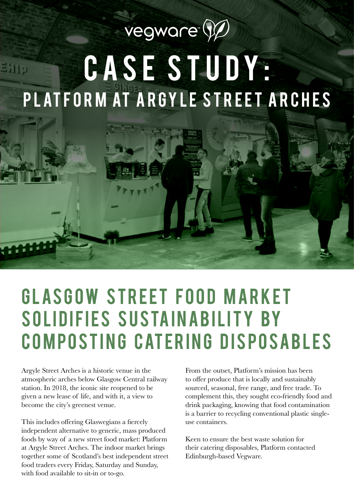## vegware (V) CASE STUDY: 3119 PLATFORM AT ARGYLE STREET ARCHES

## **GLASGOW STREET FOOD MARKET** SOLIDIFIES SUSTAINABILITY BY COMPOSTING CATERING DISPOSABLES

Argyle Street Arches is a historic venue in the atmospheric arches below Glasgow Central railway station. In 2018, the iconic site reopened to be given a new lease of life, and with it, a view to become the city's greenest venue.

This includes offering Glaswegians a fiercely independent alternative to generic, mass produced foods by way of a new street food market: Platform at Argyle Street Arches. The indoor market brings together some of Scotland's best independent street food traders every Friday, Saturday and Sunday, with food available to sit-in or to-go.

From the outset, Platform's mission has been to offer produce that is locally and sustainably sourced, seasonal, free range, and free trade. To complement this, they sought eco-friendly food and drink packaging, knowing that food contamination is a barrier to recycling conventional plastic singleuse containers.

Keen to ensure the best waste solution for their catering disposables, Platform contacted Edinburgh-based Vegware.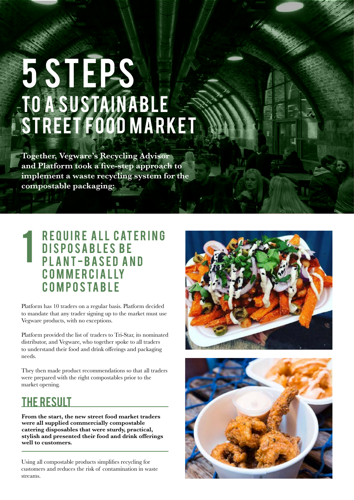# TO A SUSTAINABLE STREET FOOD MARKET 5 STEPS

**Together, Vegware's Recycling Advisor and Platform took a five-step approach to implement a waste recycling system for the compostable packaging:**

#### REQUIRE ALL CATERING DISPOSABLES BE **PLANT-BASED AND** c o m m e r c i a l ly **COMPOSTABLE** 1

Platform has 10 traders on a regular basis. Platform decided to mandate that any trader signing up to the market must use Vegware products, with no exceptions.

Platform provided the list of traders to Tri-Star, its nominated distributor, and Vegware, who together spoke to all traders to understand their food and drink offerings and packaging needs.

They then made product recommendations so that all traders were prepared with the right compostables prior to the market opening.

### the result

**From the start, the new street food market traders were all supplied commercially compostable catering disposables that were sturdy, practical, stylish and presented their food and drink offerings well to customers.**

Using all compostable products simplifies recycling for customers and reduces the risk of contamination in waste streams.



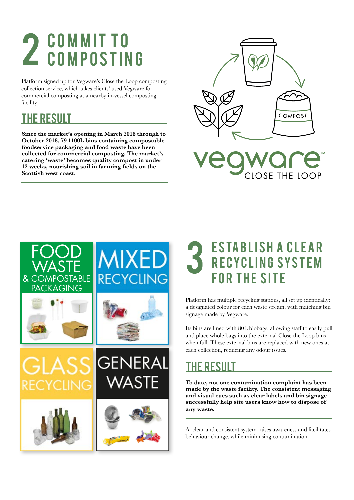### COMMIT TO 2 COMMITTO

Platform signed up for Vegware's Close the Loop composting collection service, which takes clients' used Vegware for commercial composting at a nearby in-vessel composting facility.

#### the result

**Since the market's opening in March 2018 through to October 2018, 79 1100L bins containing compostable foodservice packaging and food waste have been collected for commercial composting. The market's catering 'waste' becomes quality compost in under 12 weeks, nourishing soil in farming fields on the Scottish west coast.**



CLOSE THE LOOP



### **ESTABLISH A CLEAR** RECYCLING SYSTEM FOR THE SITE

Platform has multiple recycling stations, all set up identically: a designated colour for each waste stream, with matching bin signage made by Vegware.

Its bins are lined with 80L biobags, allowing staff to easily pull and place whole bags into the external Close the Loop bins when full. These external bins are replaced with new ones at each collection, reducing any odour issues.

### the result

**To date, not one contamination complaint has been made by the waste facility. The consistent messaging and visual cues such as clear labels and bin signage successfully help site users know how to dispose of any waste.** 

A clear and consistent system raises awareness and facilitates behaviour change, while minimising contamination.